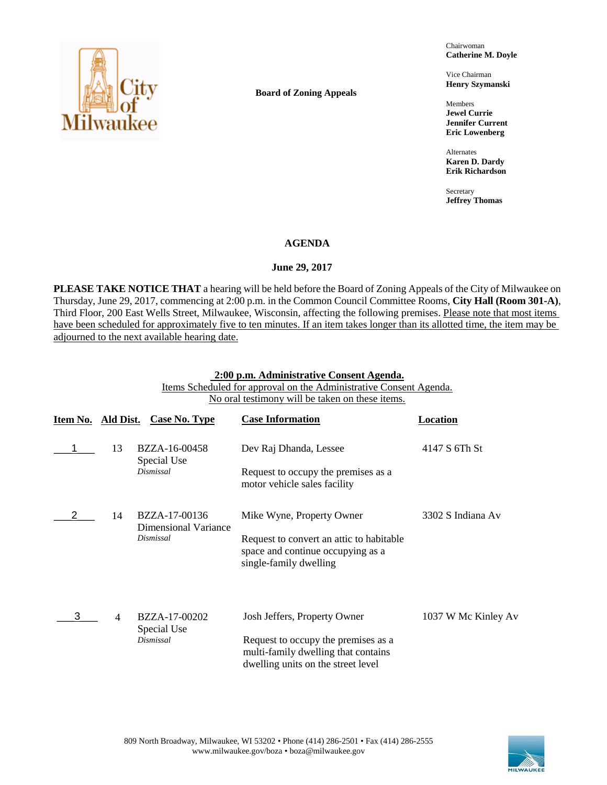

**Board of Zoning Appeals**

Chairwoman **Catherine M. Doyle**

Vice Chairman **Henry Szymanski**

Members **Jewel Currie Jennifer Current Eric Lowenberg**

Alternates **Karen D. Dardy Erik Richardson**

Secretary **Jeffrey Thomas**

### **AGENDA**

### **June 29, 2017**

**PLEASE TAKE NOTICE THAT** a hearing will be held before the Board of Zoning Appeals of the City of Milwaukee on Thursday, June 29, 2017, commencing at 2:00 p.m. in the Common Council Committee Rooms, **City Hall (Room 301-A)**, Third Floor, 200 East Wells Street, Milwaukee, Wisconsin, affecting the following premises. Please note that most items have been scheduled for approximately five to ten minutes. If an item takes longer than its allotted time, the item may be adjourned to the next available hearing date.

## **2:00 p.m. Administrative Consent Agenda.**

Items Scheduled for approval on the Administrative Consent Agenda. No oral testimony will be taken on these items.

| Item No. | Ald Dist.      | <b>Case No. Type</b>                  | <b>Case Information</b>                                                                                          | Location            |
|----------|----------------|---------------------------------------|------------------------------------------------------------------------------------------------------------------|---------------------|
|          | 13             | BZZA-16-00458<br>Special Use          | Dev Raj Dhanda, Lessee                                                                                           | 4147 S 6Th St       |
|          |                | <b>Dismissal</b>                      | Request to occupy the premises as a<br>motor vehicle sales facility                                              |                     |
|          | 14             | BZZA-17-00136<br>Dimensional Variance | Mike Wyne, Property Owner                                                                                        | 3302 S Indiana Av   |
|          |                | Dismissal                             | Request to convert an attic to habitable<br>space and continue occupying as a<br>single-family dwelling          |                     |
|          | $\overline{4}$ | BZZA-17-00202                         | Josh Jeffers, Property Owner                                                                                     | 1037 W Mc Kinley Av |
|          |                | Special Use<br>Dismissal              | Request to occupy the premises as a<br>multi-family dwelling that contains<br>dwelling units on the street level |                     |

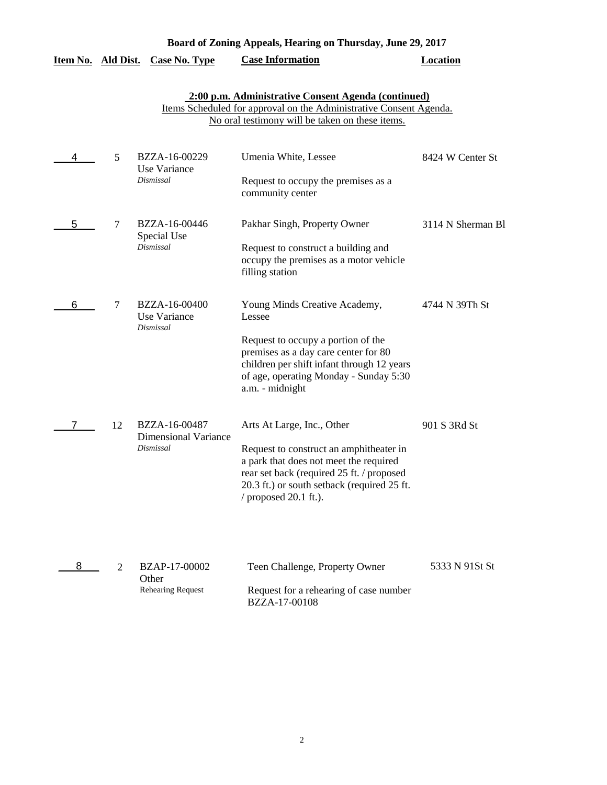### **Board of Zoning Appeals, Hearing on Thursday, June 29, 2017**

# **Item No. Ald Dist. Case No. Type Case Information Location**

# **2:00 p.m. Administrative Consent Agenda (continued)**

Items Scheduled for approval on the Administrative Consent Agenda. No oral testimony will be taken on these items.

| 4 | 5  | BZZA-16-00229<br>Use Variance                | Umenia White, Lessee                                                                                                                                                                                     | 8424 W Center St  |
|---|----|----------------------------------------------|----------------------------------------------------------------------------------------------------------------------------------------------------------------------------------------------------------|-------------------|
|   |    | Dismissal                                    | Request to occupy the premises as a<br>community center                                                                                                                                                  |                   |
| 5 | 7  | BZZA-16-00446<br>Special Use                 | Pakhar Singh, Property Owner                                                                                                                                                                             | 3114 N Sherman Bl |
|   |    | Dismissal                                    | Request to construct a building and<br>occupy the premises as a motor vehicle<br>filling station                                                                                                         |                   |
| 6 | 7  | BZZA-16-00400<br>Use Variance<br>Dismissal   | Young Minds Creative Academy,<br>Lessee                                                                                                                                                                  | 4744 N 39Th St    |
|   |    |                                              | Request to occupy a portion of the<br>premises as a day care center for 80<br>children per shift infant through 12 years<br>of age, operating Monday - Sunday 5:30<br>a.m. - midnight                    |                   |
|   | 12 | BZZA-16-00487<br><b>Dimensional Variance</b> | Arts At Large, Inc., Other                                                                                                                                                                               | 901 S 3Rd St      |
|   |    | <b>Dismissal</b>                             | Request to construct an amphitheater in<br>a park that does not meet the required<br>rear set back (required 25 ft. / proposed<br>20.3 ft.) or south setback (required 25 ft.<br>/ proposed $20.1$ ft.). |                   |
| 8 | 2  | <b>BZAP-17-00002</b>                         | Teen Challenge, Property Owner                                                                                                                                                                           | 5333 N 91St St    |

| Other                    |                                                                |
|--------------------------|----------------------------------------------------------------|
| <b>Rehearing Request</b> | Request for a rehearing of case number<br><b>BZZA-17-00108</b> |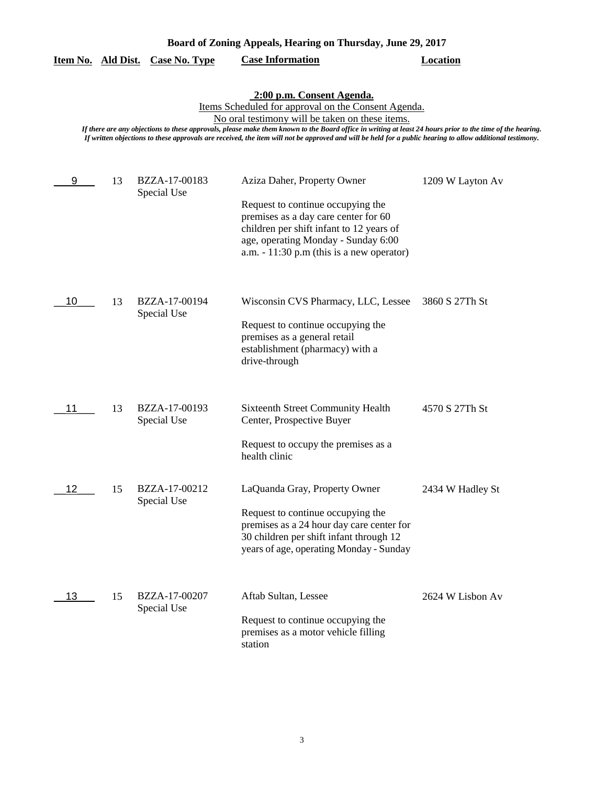|    |    |                              | No oral testimony will be taken on these items.                                                                                                                                                                                                                                               |                  |
|----|----|------------------------------|-----------------------------------------------------------------------------------------------------------------------------------------------------------------------------------------------------------------------------------------------------------------------------------------------|------------------|
|    |    |                              | If there are any objections to these approvals, please make them known to the Board office in writing at least 24 hours prior to the time of<br>If written objections to these approvals are received, the item will not be approved and will be held for a public hearing to allow additiona |                  |
| 9  | 13 | BZZA-17-00183<br>Special Use | Aziza Daher, Property Owner<br>Request to continue occupying the<br>premises as a day care center for 60<br>children per shift infant to 12 years of<br>age, operating Monday - Sunday 6:00<br>a.m. $-11:30$ p.m (this is a new operator)                                                     | 1209 W Layton Av |
| 10 | 13 | BZZA-17-00194<br>Special Use | Wisconsin CVS Pharmacy, LLC, Lessee<br>Request to continue occupying the<br>premises as a general retail<br>establishment (pharmacy) with a<br>drive-through                                                                                                                                  | 3860 S 27Th St   |
| 11 | 13 | BZZA-17-00193<br>Special Use | <b>Sixteenth Street Community Health</b><br>Center, Prospective Buyer<br>Request to occupy the premises as a<br>health clinic                                                                                                                                                                 | 4570 S 27Th St   |
| 12 | 15 | BZZA-17-00212<br>Special Use | LaQuanda Gray, Property Owner<br>Request to continue occupying the<br>premises as a 24 hour day care center for<br>30 children per shift infant through 12<br>years of age, operating Monday - Sunday                                                                                         | 2434 W Hadley St |

### **2:00 p.m. Consent Agenda.**

Items Scheduled for approval on the Consent Agenda.

*If there are any objections to these approvals, please make them known to the Board office in writing at least 24 hours prior to the time of the hearing. If written objections to these approvals are received, the item will not be approved and will be held for a public hearing to allow additional testimony.*

| - 13 | 15 | BZZA-17-00207<br>Special Use | Aftab Sultan, Lessee                                                                | 2624 W Lisbon Av |
|------|----|------------------------------|-------------------------------------------------------------------------------------|------------------|
|      |    |                              | Request to continue occupying the<br>premises as a motor vehicle filling<br>station |                  |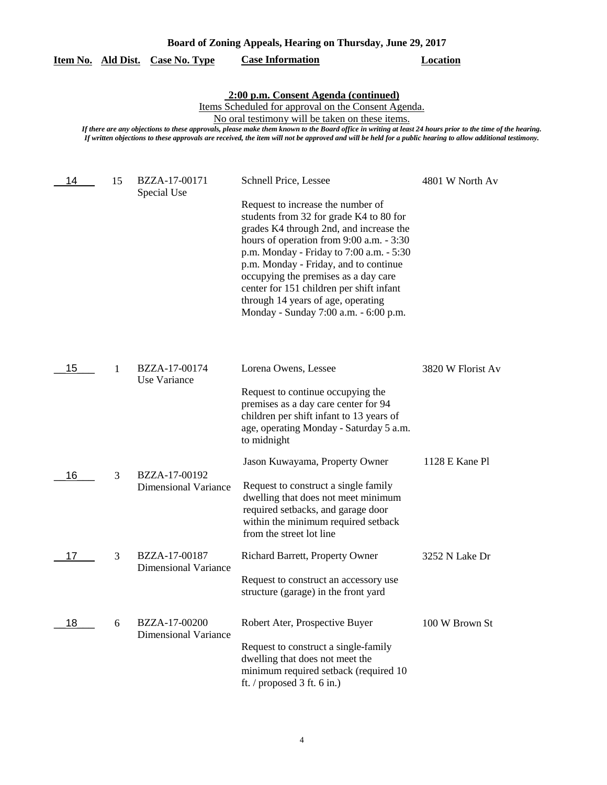|    |    | Item No. Ald Dist. Case No. Type             | <b>Case Information</b>                                                                                                                                                                                                                                                                                                | <b>Location</b>   |
|----|----|----------------------------------------------|------------------------------------------------------------------------------------------------------------------------------------------------------------------------------------------------------------------------------------------------------------------------------------------------------------------------|-------------------|
|    |    |                                              | 2:00 p.m. Consent Agenda (continued)                                                                                                                                                                                                                                                                                   |                   |
|    |    |                                              | Items Scheduled for approval on the Consent Agenda.                                                                                                                                                                                                                                                                    |                   |
|    |    |                                              | No oral testimony will be taken on these items.                                                                                                                                                                                                                                                                        |                   |
|    |    |                                              | If there are any objections to these approvals, please make them known to the Board office in writing at least 24 hours prior to the time of the hearing.<br>If written objections to these approvals are received, the item will not be approved and will be held for a public hearing to allow additional testimony. |                   |
|    |    |                                              |                                                                                                                                                                                                                                                                                                                        |                   |
| 14 | 15 | BZZA-17-00171<br>Special Use                 | Schnell Price, Lessee                                                                                                                                                                                                                                                                                                  | 4801 W North Av   |
|    |    |                                              | Request to increase the number of<br>students from 32 for grade K4 to 80 for<br>grades K4 through 2nd, and increase the<br>hours of operation from 9:00 a.m. - 3:30                                                                                                                                                    |                   |
|    |    |                                              | p.m. Monday - Friday to 7:00 a.m. - 5:30<br>p.m. Monday - Friday, and to continue<br>occupying the premises as a day care                                                                                                                                                                                              |                   |
|    |    |                                              | center for 151 children per shift infant<br>through 14 years of age, operating                                                                                                                                                                                                                                         |                   |
|    |    |                                              | Monday - Sunday 7:00 a.m. - 6:00 p.m.                                                                                                                                                                                                                                                                                  |                   |
|    |    | BZZA-17-00174                                |                                                                                                                                                                                                                                                                                                                        |                   |
| 15 | 1  | Use Variance                                 | Lorena Owens, Lessee                                                                                                                                                                                                                                                                                                   | 3820 W Florist Av |
|    |    |                                              | Request to continue occupying the<br>premises as a day care center for 94                                                                                                                                                                                                                                              |                   |
|    |    |                                              | children per shift infant to 13 years of                                                                                                                                                                                                                                                                               |                   |
|    |    |                                              | age, operating Monday - Saturday 5 a.m.<br>to midnight                                                                                                                                                                                                                                                                 |                   |
|    |    |                                              | Jason Kuwayama, Property Owner                                                                                                                                                                                                                                                                                         | 1128 E Kane Pl    |
| 16 | 3  | BZZA-17-00192<br><b>Dimensional Variance</b> | Request to construct a single family<br>dwelling that does not meet minimum<br>required setbacks, and garage door<br>within the minimum required setback<br>from the street lot line                                                                                                                                   |                   |
| 17 | 3  | BZZA-17-00187<br><b>Dimensional Variance</b> | Richard Barrett, Property Owner                                                                                                                                                                                                                                                                                        | 3252 N Lake Dr    |
|    |    |                                              | Request to construct an accessory use                                                                                                                                                                                                                                                                                  |                   |

ft. / proposed 3 ft. 6 in.)

Dimensional Variance

 $-18$  6

structure (garage) in the front yard

BZZA-17-00200 Robert Ater, Prospective Buyer 100 W Brown St

Request to construct a single-family dwelling that does not meet the

minimum required setback (required 10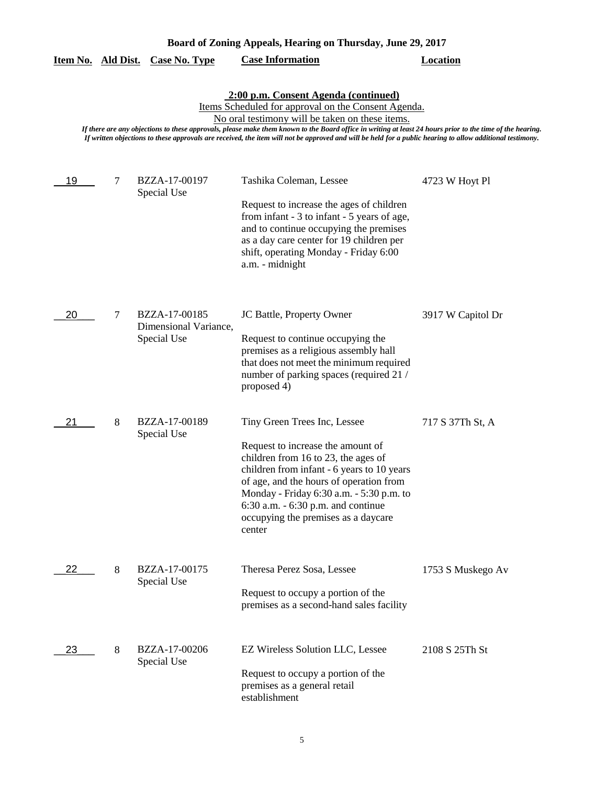| Board of Zoning Appeals, Hearing on Thursday, June 29, 2017 |  |  |  |
|-------------------------------------------------------------|--|--|--|
|                                                             |  |  |  |

|                                                                                                                                                                                                                                                                                                                                                                                                                                                                                 |   | <u>Item No. Ald Dist. Case No. Type</u>               | <b>Case Information</b>                                                                                                                                                                                                                                                                                                                 | <b>Location</b>   |  |  |
|---------------------------------------------------------------------------------------------------------------------------------------------------------------------------------------------------------------------------------------------------------------------------------------------------------------------------------------------------------------------------------------------------------------------------------------------------------------------------------|---|-------------------------------------------------------|-----------------------------------------------------------------------------------------------------------------------------------------------------------------------------------------------------------------------------------------------------------------------------------------------------------------------------------------|-------------------|--|--|
| 2:00 p.m. Consent Agenda (continued)<br><u>Items Scheduled for approval on the Consent Agenda.</u><br>No oral testimony will be taken on these items.<br>If there are any objections to these approvals, please make them known to the Board office in writing at least 24 hours prior to the time of the hearing.<br>If written objections to these approvals are received, the item will not be approved and will be held for a public hearing to allow additional testimony. |   |                                                       |                                                                                                                                                                                                                                                                                                                                         |                   |  |  |
| 19                                                                                                                                                                                                                                                                                                                                                                                                                                                                              | 7 | BZZA-17-00197<br>Special Use                          | Tashika Coleman, Lessee<br>Request to increase the ages of children<br>from infant - 3 to infant - 5 years of age,<br>and to continue occupying the premises<br>as a day care center for 19 children per<br>shift, operating Monday - Friday 6:00<br>a.m. - midnight                                                                    | 4723 W Hoyt Pl    |  |  |
| 20                                                                                                                                                                                                                                                                                                                                                                                                                                                                              | 7 | BZZA-17-00185<br>Dimensional Variance,<br>Special Use | JC Battle, Property Owner<br>Request to continue occupying the<br>premises as a religious assembly hall<br>that does not meet the minimum required<br>number of parking spaces (required 21 /<br>proposed 4)                                                                                                                            | 3917 W Capitol Dr |  |  |
| 21                                                                                                                                                                                                                                                                                                                                                                                                                                                                              | 8 | BZZA-17-00189<br>Special Use                          | Tiny Green Trees Inc, Lessee<br>Request to increase the amount of<br>children from 16 to 23, the ages of<br>children from infant - 6 years to 10 years<br>of age, and the hours of operation from<br>Monday - Friday 6:30 a.m. - 5:30 p.m. to<br>$6:30$ a.m. $-6:30$ p.m. and continue<br>occupying the premises as a daycare<br>center | 717 S 37Th St, A  |  |  |
| 22.                                                                                                                                                                                                                                                                                                                                                                                                                                                                             | 8 | BZZA-17-00175<br>Special Use                          | Theresa Perez Sosa, Lessee<br>Request to occupy a portion of the<br>premises as a second-hand sales facility                                                                                                                                                                                                                            | 1753 S Muskego Av |  |  |
| 23                                                                                                                                                                                                                                                                                                                                                                                                                                                                              | 8 | BZZA-17-00206<br>Special Use                          | EZ Wireless Solution LLC, Lessee<br>Request to occupy a portion of the<br>premises as a general retail<br>establishment                                                                                                                                                                                                                 | 2108 S 25Th St    |  |  |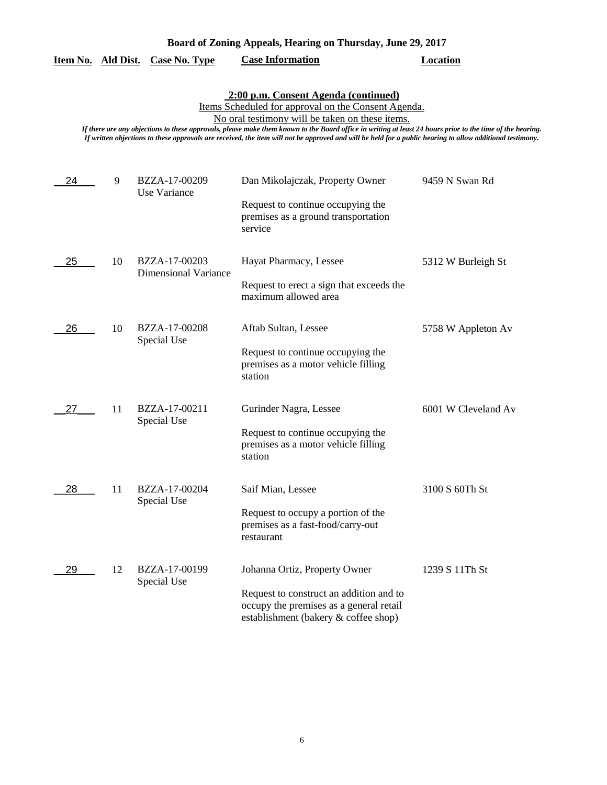| Board of Zoning Appeals, Hearing on Thursday, June 29, 2017 |  |  |  |
|-------------------------------------------------------------|--|--|--|
|                                                             |  |  |  |

|  |  | Item No. Ald Dist. Case No. Type | <b>Case Information</b> | Location |
|--|--|----------------------------------|-------------------------|----------|
|--|--|----------------------------------|-------------------------|----------|

**2:00 p.m. Consent Agenda (continued)**

Items Scheduled for approval on the Consent Agenda.

No oral testimony will be taken on these items.

*If there are any objections to these approvals, please make them known to the Board office in writing at least 24 hours prior to the time of the hearing.*

*If written objections to these approvals are received, the item will not be approved and will be held for a public hearing to allow additional testimony.*

| 24 | 9  | BZZA-17-00209<br>Use Variance                | Dan Mikolajczak, Property Owner<br>Request to continue occupying the<br>premises as a ground transportation<br>service                                      | 9459 N Swan Rd      |
|----|----|----------------------------------------------|-------------------------------------------------------------------------------------------------------------------------------------------------------------|---------------------|
| 25 | 10 | BZZA-17-00203<br><b>Dimensional Variance</b> | Hayat Pharmacy, Lessee<br>Request to erect a sign that exceeds the<br>maximum allowed area                                                                  | 5312 W Burleigh St  |
| 26 | 10 | BZZA-17-00208<br>Special Use                 | Aftab Sultan, Lessee<br>Request to continue occupying the<br>premises as a motor vehicle filling<br>station                                                 | 5758 W Appleton Av  |
| 27 | 11 | BZZA-17-00211<br>Special Use                 | Gurinder Nagra, Lessee<br>Request to continue occupying the<br>premises as a motor vehicle filling<br>station                                               | 6001 W Cleveland Av |
| 28 | 11 | BZZA-17-00204<br>Special Use                 | Saif Mian, Lessee<br>Request to occupy a portion of the<br>premises as a fast-food/carry-out<br>restaurant                                                  | 3100 S 60Th St      |
| 29 | 12 | BZZA-17-00199<br>Special Use                 | Johanna Ortiz, Property Owner<br>Request to construct an addition and to<br>occupy the premises as a general retail<br>establishment (bakery & coffee shop) | 1239 S 11Th St      |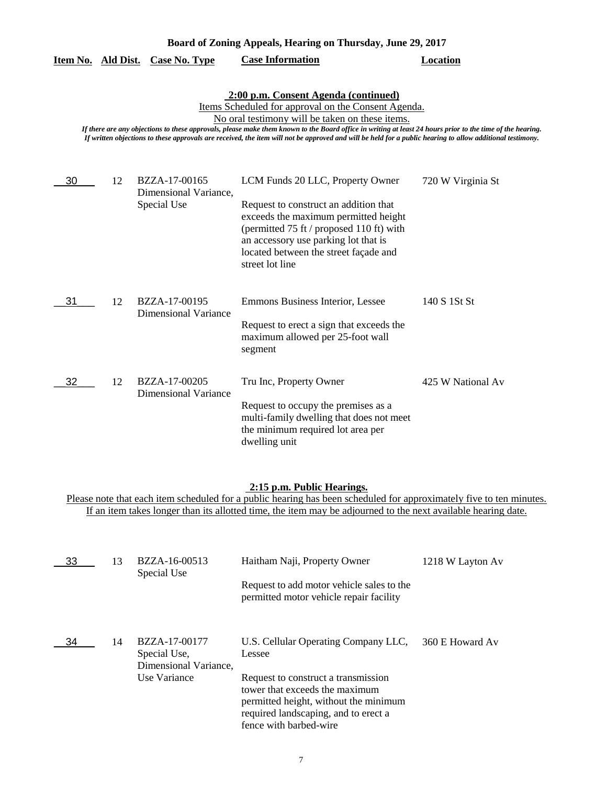## **2:00 p.m. Consent Agenda (continued)**

Items Scheduled for approval on the Consent Agenda.

No oral testimony will be taken on these items.

*If there are any objections to these approvals, please make them known to the Board office in writing at least 24 hours prior to the time of the hearing. If written objections to these approvals are received, the item will not be approved and will be held for a public hearing to allow additional testimony.*

| 30 | 12 | BZZA-17-00165<br>Dimensional Variance,       | LCM Funds 20 LLC, Property Owner                                                                                                                                                                                              | 720 W Virginia St |
|----|----|----------------------------------------------|-------------------------------------------------------------------------------------------------------------------------------------------------------------------------------------------------------------------------------|-------------------|
|    |    | Special Use                                  | Request to construct an addition that<br>exceeds the maximum permitted height<br>(permitted 75 ft / proposed 110 ft) with<br>an accessory use parking lot that is<br>located between the street façade and<br>street lot line |                   |
| 31 | 12 | BZZA-17-00195<br>Dimensional Variance        | Emmons Business Interior, Lessee<br>Request to erect a sign that exceeds the<br>maximum allowed per 25-foot wall<br>segment                                                                                                   | 140 S 1St St      |
| 32 | 12 | BZZA-17-00205<br><b>Dimensional Variance</b> | Tru Inc, Property Owner<br>Request to occupy the premises as a<br>multi-family dwelling that does not meet<br>the minimum required lot area per<br>dwelling unit                                                              | 425 W National Av |

### **2:15 p.m. Public Hearings.**

| 33 | 13 | BZZA-16-00513<br>Special Use                           | Haitham Naji, Property Owner                                                                                                                                                     | 1218 W Layton Av |
|----|----|--------------------------------------------------------|----------------------------------------------------------------------------------------------------------------------------------------------------------------------------------|------------------|
|    |    |                                                        | Request to add motor vehicle sales to the<br>permitted motor vehicle repair facility                                                                                             |                  |
| 34 | 14 | BZZA-17-00177<br>Special Use.<br>Dimensional Variance, | U.S. Cellular Operating Company LLC,<br>Lessee                                                                                                                                   | 360 E Howard Av  |
|    |    | Use Variance                                           | Request to construct a transmission<br>tower that exceeds the maximum<br>permitted height, without the minimum<br>required landscaping, and to erect a<br>fence with barbed-wire |                  |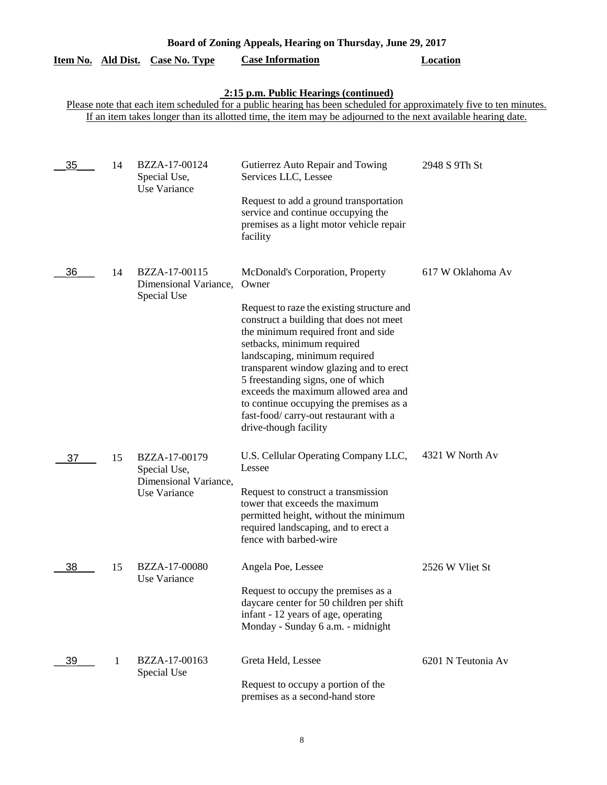|                           | Board of Zoning Appeals, Hearing on Thursday, June 29, 2017 |                                                                        |                                                                                                                                                                                                                                                                                                                                                                                                                                                                                |                    |  |
|---------------------------|-------------------------------------------------------------|------------------------------------------------------------------------|--------------------------------------------------------------------------------------------------------------------------------------------------------------------------------------------------------------------------------------------------------------------------------------------------------------------------------------------------------------------------------------------------------------------------------------------------------------------------------|--------------------|--|
| <u>Item No. Ald Dist.</u> |                                                             | Case No. Type                                                          | <b>Case Information</b>                                                                                                                                                                                                                                                                                                                                                                                                                                                        | <b>Location</b>    |  |
|                           |                                                             |                                                                        | 2:15 p.m. Public Hearings (continued)<br>Please note that each item scheduled for a public hearing has been scheduled for approximately five to ten minutes.<br>If an item takes longer than its allotted time, the item may be adjourned to the next available hearing date.                                                                                                                                                                                                  |                    |  |
| 35                        | 14                                                          | BZZA-17-00124<br>Special Use,<br>Use Variance                          | Gutierrez Auto Repair and Towing<br>Services LLC, Lessee<br>Request to add a ground transportation<br>service and continue occupying the<br>premises as a light motor vehicle repair<br>facility                                                                                                                                                                                                                                                                               | 2948 S 9Th St      |  |
| 36                        | 14                                                          | BZZA-17-00115<br>Dimensional Variance,<br>Special Use                  | McDonald's Corporation, Property<br>Owner<br>Request to raze the existing structure and<br>construct a building that does not meet<br>the minimum required front and side<br>setbacks, minimum required<br>landscaping, minimum required<br>transparent window glazing and to erect<br>5 freestanding signs, one of which<br>exceeds the maximum allowed area and<br>to continue occupying the premises as a<br>fast-food/carry-out restaurant with a<br>drive-though facility | 617 W Oklahoma Av  |  |
| 37                        | 15                                                          | BZZA-17-00179<br>Special Use,<br>Dimensional Variance,<br>Use Variance | U.S. Cellular Operating Company LLC,<br>Lessee<br>Request to construct a transmission<br>tower that exceeds the maximum<br>permitted height, without the minimum<br>required landscaping, and to erect a<br>fence with barbed-wire                                                                                                                                                                                                                                             | 4321 W North Av    |  |
| 38                        | 15                                                          | BZZA-17-00080<br>Use Variance                                          | Angela Poe, Lessee<br>Request to occupy the premises as a<br>daycare center for 50 children per shift<br>infant - 12 years of age, operating<br>Monday - Sunday 6 a.m. - midnight                                                                                                                                                                                                                                                                                              | 2526 W Vliet St    |  |
| 39                        | 1                                                           | BZZA-17-00163<br>Special Use                                           | Greta Held, Lessee<br>Request to occupy a portion of the<br>premises as a second-hand store                                                                                                                                                                                                                                                                                                                                                                                    | 6201 N Teutonia Av |  |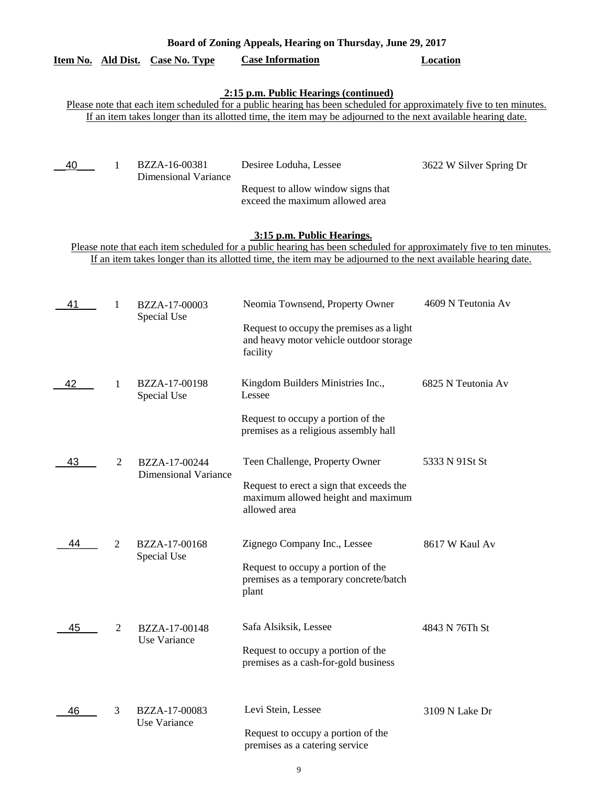| Board of Zoning Appeals, Hearing on Thursday, June 29, 2017 |                                                                                                                                                                                                                                                                               |                                              |                                                                                                                                                                                                                                                                    |                         |  |  |  |  |
|-------------------------------------------------------------|-------------------------------------------------------------------------------------------------------------------------------------------------------------------------------------------------------------------------------------------------------------------------------|----------------------------------------------|--------------------------------------------------------------------------------------------------------------------------------------------------------------------------------------------------------------------------------------------------------------------|-------------------------|--|--|--|--|
|                                                             |                                                                                                                                                                                                                                                                               | Item No. Ald Dist. Case No. Type             | <b>Case Information</b>                                                                                                                                                                                                                                            | <b>Location</b>         |  |  |  |  |
|                                                             | 2:15 p.m. Public Hearings (continued)<br>Please note that each item scheduled for a public hearing has been scheduled for approximately five to ten minutes.<br>If an item takes longer than its allotted time, the item may be adjourned to the next available hearing date. |                                              |                                                                                                                                                                                                                                                                    |                         |  |  |  |  |
| 40                                                          | 1                                                                                                                                                                                                                                                                             | BZZA-16-00381<br><b>Dimensional Variance</b> | Desiree Loduha, Lessee<br>Request to allow window signs that<br>exceed the maximum allowed area                                                                                                                                                                    | 3622 W Silver Spring Dr |  |  |  |  |
|                                                             |                                                                                                                                                                                                                                                                               |                                              | 3:15 p.m. Public Hearings.<br>Please note that each item scheduled for a public hearing has been scheduled for approximately five to ten minutes.<br>If an item takes longer than its allotted time, the item may be adjourned to the next available hearing date. |                         |  |  |  |  |
| 41                                                          | 1                                                                                                                                                                                                                                                                             | BZZA-17-00003<br>Special Use                 | Neomia Townsend, Property Owner<br>Request to occupy the premises as a light<br>and heavy motor vehicle outdoor storage<br>facility                                                                                                                                | 4609 N Teutonia Av      |  |  |  |  |
| 42                                                          | 1                                                                                                                                                                                                                                                                             | BZZA-17-00198<br>Special Use                 | Kingdom Builders Ministries Inc.,<br>Lessee<br>Request to occupy a portion of the                                                                                                                                                                                  | 6825 N Teutonia Av      |  |  |  |  |
| 43                                                          | $\overline{2}$                                                                                                                                                                                                                                                                | BZZA-17-00244<br>Dimensional Variance        | premises as a religious assembly hall<br>Teen Challenge, Property Owner<br>Request to erect a sign that exceeds the<br>maximum allowed height and maximum<br>allowed area                                                                                          | 5333 N 91St St          |  |  |  |  |
| 44                                                          | 2                                                                                                                                                                                                                                                                             | BZZA-17-00168<br>Special Use                 | Zignego Company Inc., Lessee<br>Request to occupy a portion of the<br>premises as a temporary concrete/batch<br>plant                                                                                                                                              | 8617 W Kaul Av          |  |  |  |  |
| 45                                                          | 2                                                                                                                                                                                                                                                                             | BZZA-17-00148<br>Use Variance                | Safa Alsiksik, Lessee<br>Request to occupy a portion of the<br>premises as a cash-for-gold business                                                                                                                                                                | 4843 N 76Th St          |  |  |  |  |
| 46                                                          | 3                                                                                                                                                                                                                                                                             | BZZA-17-00083<br>Use Variance                | Levi Stein, Lessee<br>Request to occupy a portion of the<br>premises as a catering service                                                                                                                                                                         | 3109 N Lake Dr          |  |  |  |  |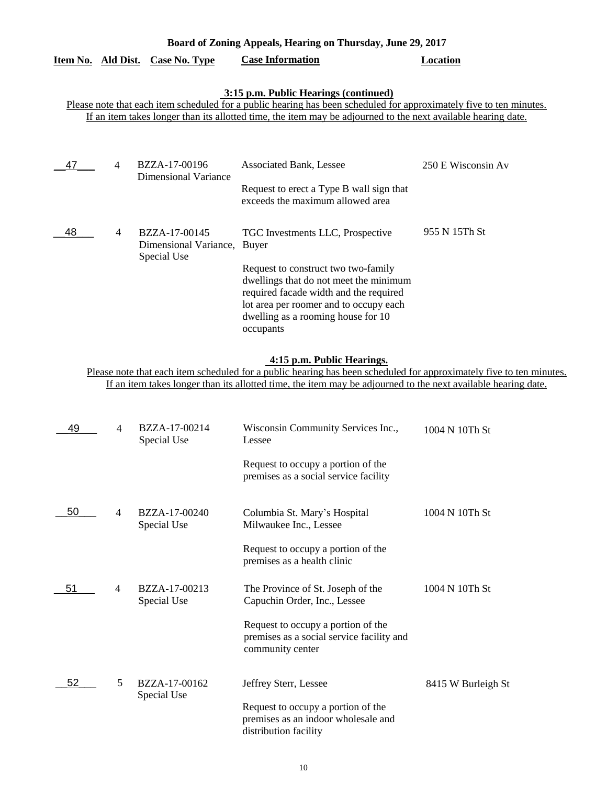| Item No. Ald Dist. |                | Case No. Type                                | <b>Case Information</b>                                                                                                                                                                                                                                                       | Location           |
|--------------------|----------------|----------------------------------------------|-------------------------------------------------------------------------------------------------------------------------------------------------------------------------------------------------------------------------------------------------------------------------------|--------------------|
|                    |                |                                              | 3:15 p.m. Public Hearings (continued)<br>Please note that each item scheduled for a public hearing has been scheduled for approximately five to ten minutes.<br>If an item takes longer than its allotted time, the item may be adjourned to the next available hearing date. |                    |
| 47                 | $\overline{4}$ | BZZA-17-00196<br><b>Dimensional Variance</b> | <b>Associated Bank, Lessee</b><br>Request to erect a Type B wall sign that                                                                                                                                                                                                    | 250 E Wisconsin Av |
| 48                 | 4              | BZZA-17-00145<br>Dimensional Variance,       | exceeds the maximum allowed area<br>TGC Investments LLC, Prospective<br><b>Buyer</b>                                                                                                                                                                                          | 955 N 15Th St      |
|                    |                | Special Use                                  | Request to construct two two-family<br>dwellings that do not meet the minimum<br>required facade width and the required<br>lot area per roomer and to occupy each<br>dwelling as a rooming house for 10<br>occupants                                                          |                    |

**Board of Zoning Appeals, Hearing on Thursday, June 29, 2017** 

### **4:15 p.m. Public Hearings.**

| 49 | 4 | BZZA-17-00214<br>Special Use | Wisconsin Community Services Inc.,<br>Lessee                                                        | 1004 N 10Th St     |
|----|---|------------------------------|-----------------------------------------------------------------------------------------------------|--------------------|
|    |   |                              | Request to occupy a portion of the<br>premises as a social service facility                         |                    |
| 50 | 4 | BZZA-17-00240<br>Special Use | Columbia St. Mary's Hospital<br>Milwaukee Inc., Lessee                                              | 1004 N 10Th St     |
|    |   |                              | Request to occupy a portion of the<br>premises as a health clinic                                   |                    |
| 51 | 4 | BZZA-17-00213<br>Special Use | The Province of St. Joseph of the<br>Capuchin Order, Inc., Lessee                                   | 1004 N 10Th St     |
|    |   |                              | Request to occupy a portion of the<br>premises as a social service facility and<br>community center |                    |
| 52 | 5 | BZZA-17-00162<br>Special Use | Jeffrey Sterr, Lessee                                                                               | 8415 W Burleigh St |
|    |   |                              | Request to occupy a portion of the<br>premises as an indoor wholesale and<br>distribution facility  |                    |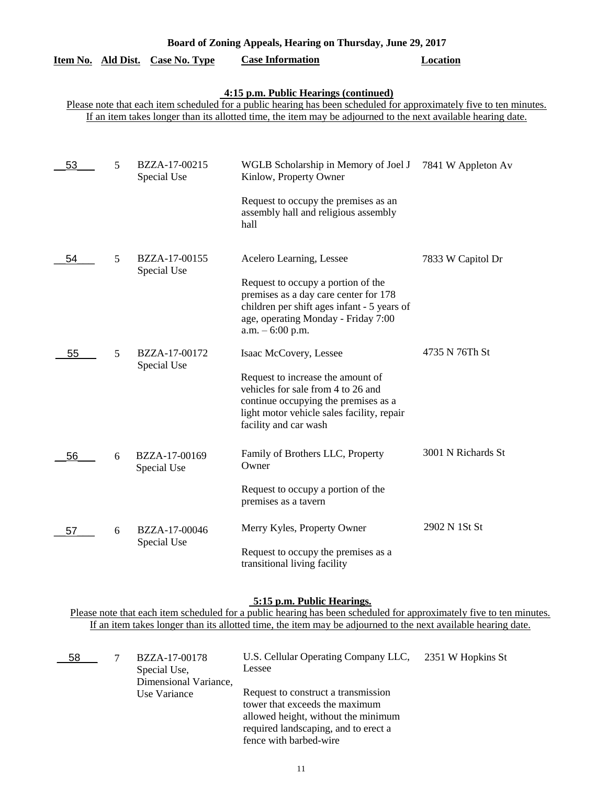|    |   | Item No. Ald Dist. Case No. Type | <b>Case Information</b>                                                                                             | Location           |
|----|---|----------------------------------|---------------------------------------------------------------------------------------------------------------------|--------------------|
|    |   |                                  | 4:15 p.m. Public Hearings (continued)                                                                               |                    |
|    |   |                                  | Please note that each item scheduled for a public hearing has been scheduled for approximately five to ten minutes. |                    |
|    |   |                                  | If an item takes longer than its allotted time, the item may be adjourned to the next available hearing date.       |                    |
|    |   |                                  |                                                                                                                     |                    |
| 53 | 5 | BZZA-17-00215<br>Special Use     | WGLB Scholarship in Memory of Joel J<br>Kinlow, Property Owner                                                      | 7841 W Appleton Av |
|    |   |                                  | Request to occupy the premises as an<br>assembly hall and religious assembly<br>hall                                |                    |
| 54 | 5 | BZZA-17-00155<br>Special Use     | Acelero Learning, Lessee                                                                                            | 7833 W Capitol Dr  |
|    |   |                                  | Request to occupy a portion of the                                                                                  |                    |
|    |   |                                  | premises as a day care center for 178                                                                               |                    |
|    |   |                                  | children per shift ages infant - 5 years of                                                                         |                    |
|    |   |                                  | age, operating Monday - Friday 7:00<br>$a.m. - 6:00 p.m.$                                                           |                    |
|    |   |                                  |                                                                                                                     |                    |
| 55 | 5 | BZZA-17-00172<br>Special Use     | Isaac McCovery, Lessee                                                                                              | 4735 N 76Th St     |
|    |   |                                  | Request to increase the amount of                                                                                   |                    |
|    |   |                                  | vehicles for sale from 4 to 26 and                                                                                  |                    |
|    |   |                                  | continue occupying the premises as a<br>light motor vehicle sales facility, repair                                  |                    |
|    |   |                                  | facility and car wash                                                                                               |                    |
| 56 | 6 | BZZA-17-00169                    | Family of Brothers LLC, Property                                                                                    | 3001 N Richards St |
|    |   | Special Use                      | Owner                                                                                                               |                    |
|    |   |                                  | Request to occupy a portion of the<br>premises as a tavern                                                          |                    |
| 57 | 6 | BZZA-17-00046                    | Merry Kyles, Property Owner                                                                                         | 2902 N 1St St      |
|    |   | Special Use                      | Request to occupy the premises as a<br>transitional living facility                                                 |                    |

**Board of Zoning Appeals, Hearing on Thursday, June 29, 2017** 

### **5:15 p.m. Public Hearings.**

| 58 | BZZA-17-00178         | U.S. Cellular Operating Company LLC, 2351 W Hopkins St |  |
|----|-----------------------|--------------------------------------------------------|--|
|    | Special Use,          | Lessee                                                 |  |
|    | Dimensional Variance, |                                                        |  |
|    | Use Variance          | Request to construct a transmission                    |  |
|    |                       | tower that exceeds the maximum                         |  |
|    |                       | allowed height, without the minimum                    |  |
|    |                       | required landscaping, and to erect a                   |  |
|    |                       | fence with barbed-wire                                 |  |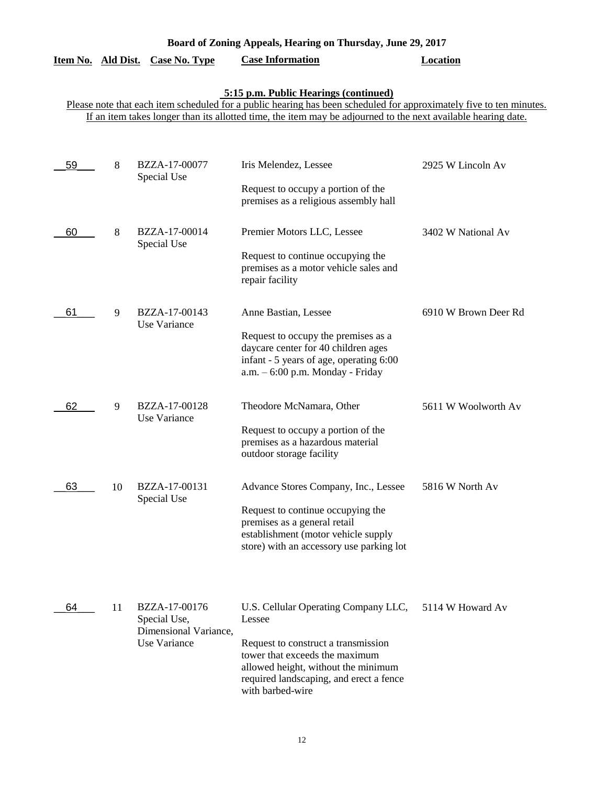| Board of Zoning Appeals, Hearing on Thursday, June 29, 2017 |  |  |  |
|-------------------------------------------------------------|--|--|--|
|                                                             |  |  |  |

#### **5:15 p.m. Public Hearings (continued)**

| 59 | 8  | BZZA-17-00077<br>Special Use                                           | Iris Melendez, Lessee<br>Request to occupy a portion of the<br>premises as a religious assembly hall                                                                                                                          | 2925 W Lincoln Av    |
|----|----|------------------------------------------------------------------------|-------------------------------------------------------------------------------------------------------------------------------------------------------------------------------------------------------------------------------|----------------------|
| 60 | 8  | BZZA-17-00014<br>Special Use                                           | Premier Motors LLC, Lessee<br>Request to continue occupying the<br>premises as a motor vehicle sales and<br>repair facility                                                                                                   | 3402 W National Av   |
| 61 | 9  | BZZA-17-00143<br>Use Variance                                          | Anne Bastian, Lessee<br>Request to occupy the premises as a<br>daycare center for 40 children ages<br>infant - 5 years of age, operating 6:00<br>a.m. - 6:00 p.m. Monday - Friday                                             | 6910 W Brown Deer Rd |
| 62 | 9  | BZZA-17-00128<br>Use Variance                                          | Theodore McNamara, Other<br>Request to occupy a portion of the<br>premises as a hazardous material<br>outdoor storage facility                                                                                                | 5611 W Woolworth Av  |
| 63 | 10 | BZZA-17-00131<br>Special Use                                           | Advance Stores Company, Inc., Lessee<br>Request to continue occupying the<br>premises as a general retail<br>establishment (motor vehicle supply<br>store) with an accessory use parking lot                                  | 5816 W North Av      |
| 64 | 11 | BZZA-17-00176<br>Special Use,<br>Dimensional Variance,<br>Use Variance | U.S. Cellular Operating Company LLC,<br>Lessee<br>Request to construct a transmission<br>tower that exceeds the maximum<br>allowed height, without the minimum<br>required landscaping, and erect a fence<br>with barbed-wire | 5114 W Howard Av     |